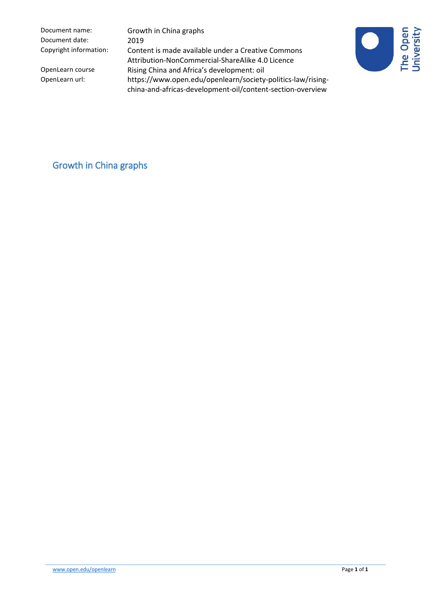Document name: Growth in China graphs Document date: 2019

Copyright information: Content is made available under a Creative Commons Attribution-NonCommercial-ShareAlike 4.0 Licence OpenLearn course Rising China and Africa's development: oil<br>OpenLearn url: https://www.open.edu/openlearn/society https://www.open.edu/openlearn/society-politics-law/risingchina-and-africas-development-oil/content-section-overview



Growth in China graphs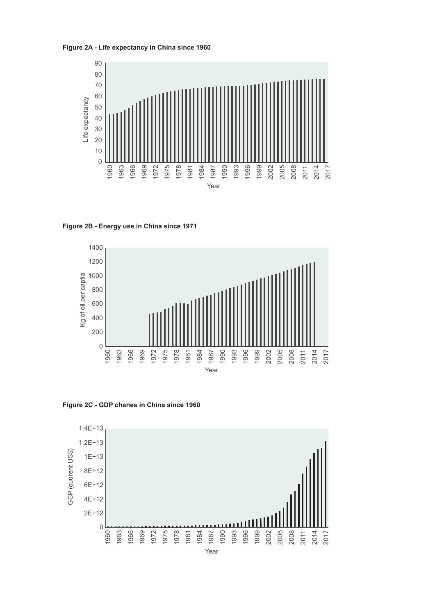